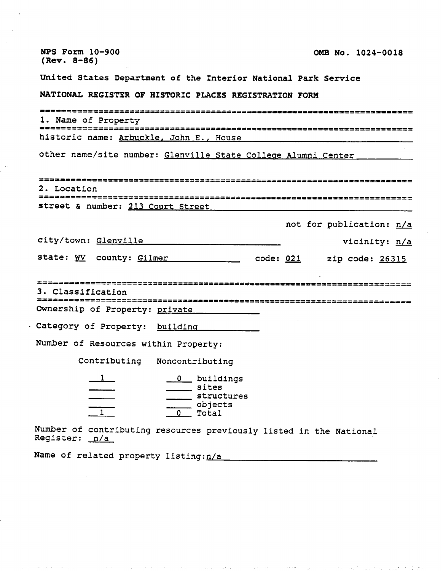| <b>NPS Form 10-900</b><br>$(Rev. 8-86)$                                             | OMB No. 1024-0018                                                         |  |                          |
|-------------------------------------------------------------------------------------|---------------------------------------------------------------------------|--|--------------------------|
| United States Department of the Interior National Park Service                      |                                                                           |  |                          |
| NATIONAL REGISTER OF HISTORIC PLACES REGISTRATION FORM                              |                                                                           |  |                          |
|                                                                                     |                                                                           |  |                          |
| 1. Name of Property                                                                 |                                                                           |  |                          |
| historic name: Arbuckle, John E., House                                             |                                                                           |  |                          |
| other name/site number: Glenville State College Alumni Center                       |                                                                           |  |                          |
| 2. Location<br>street & number: 213 Court Street                                    |                                                                           |  |                          |
|                                                                                     |                                                                           |  | not for publication: n/a |
| city/town: Glenville                                                                |                                                                           |  | vicinity: n/a            |
| state: WV county: Gilmer code: 021 zip code: 26315                                  |                                                                           |  |                          |
|                                                                                     |                                                                           |  |                          |
| 3. Classification                                                                   |                                                                           |  |                          |
| Ownership of Property: private                                                      |                                                                           |  |                          |
|                                                                                     |                                                                           |  |                          |
| Category of Property: building                                                      |                                                                           |  |                          |
| Number of Resources within Property:                                                |                                                                           |  |                          |
| Contributing                                                                        | Noncontributing                                                           |  |                          |
| $\frac{1}{1}$                                                                       | 0 buildings<br>sites<br>structures<br>__ objects<br>$\mathbf{0}$<br>Total |  |                          |
| Number of contributing resources previously listed in the National<br>Register: n/a |                                                                           |  |                          |

Name of related property listing:  $n/a$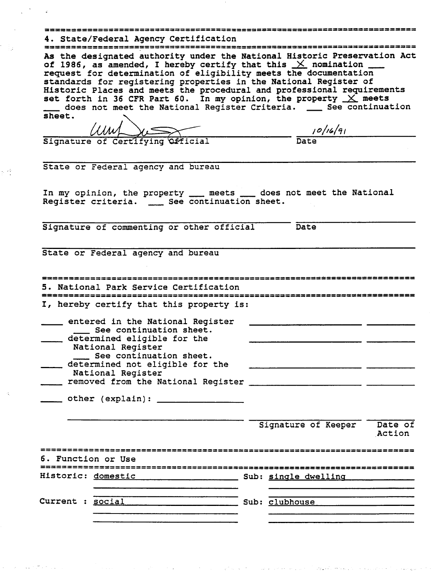# -------------------------------------\_\_\_\_\_\_\_\_\_\_\_\_\_\_\_\_\_\_\_\_\_\_\_\_\_\_\_\_\_\_\_\_\_\_\_\_\_\_\_\_----------------------------------

**4.** State/Federal Agency Certification ......................................................................... **As** the designated authority under the National Historic Preservation Act of 1986, as amended, I hereby certify that this  $\times$  nomination request for determination of eligibility meets the documentation standards for registering properties in the National Register of<br>Historic Places and meets the procedural and professional requirement<br>set forth in 36 CFR Part 60. In my opinion, the property  $\chi$  meets<br>does not meet the N Historic Places and meets the procedural and professional requirements set forth in 36 CFR Part 60. In my opinion, the property  $\underline{\times}$  meets of 1986, as amended, I hereby certify that this  $X$  nomination  $I$ <br>request for determination of eligibility meets the documentation<br>standards for registering properties in the National Register of<br>Historic Places and meet sheet,

Signature of Certifying Official

 $10/16/91$ Date

State or Federal agency and bureau

 $\epsilon_{\rm c}$  ,  $\epsilon^2$ 

State or Federal agency and bureau<br>In my opinion, the property - meets - does not meet the National<br>Register criteria. - See continuation sheet. State or Federal agency and bureau<br>In my opinion, the property \_\_\_ meets \_\_\_ does no<br>Register criteria. \_\_\_ See continuation sheet.

Signature of commenting or other official Date

State or Federal agency and bureau

|                    | 5. National Park Service Certification                                                                                                                                                                                                   |                  |                      |                   |
|--------------------|------------------------------------------------------------------------------------------------------------------------------------------------------------------------------------------------------------------------------------------|------------------|----------------------|-------------------|
|                    | I, hereby certify that this property is:                                                                                                                                                                                                 |                  |                      |                   |
|                    | entered in the National Register<br>See continuation sheet.<br>determined eligible for the<br>National Register<br>See continuation sheet.<br>determined not eligible for the<br>National Register<br>removed from the National Register |                  |                      |                   |
|                    |                                                                                                                                                                                                                                          |                  | Signature of Keeper  | Date of<br>Action |
| 6. Function or Use |                                                                                                                                                                                                                                          |                  |                      |                   |
| Historic: domestic |                                                                                                                                                                                                                                          |                  | Sub: single dwelling |                   |
| Current            | : social                                                                                                                                                                                                                                 | _ Sub: clubhouse |                      |                   |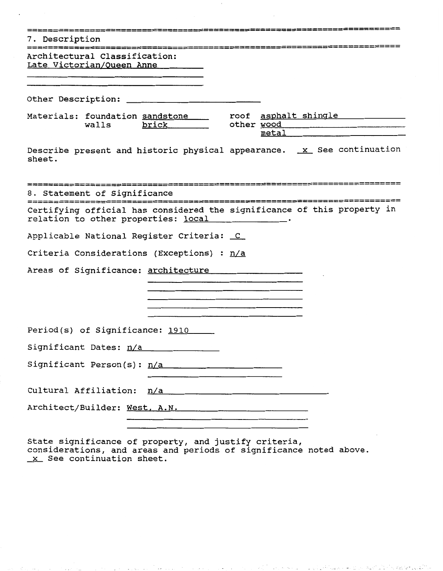| 7. Description                                                                                                                                                                                                                                                                                                                       |
|--------------------------------------------------------------------------------------------------------------------------------------------------------------------------------------------------------------------------------------------------------------------------------------------------------------------------------------|
| Architectural Classification:<br>Late Victorian/Queen Anne<br><u> 1980 - Jan Barat, politik američki politik († 1908)</u>                                                                                                                                                                                                            |
|                                                                                                                                                                                                                                                                                                                                      |
| Materials: foundation sandstone _____ roof asphalt shingle __________<br>walls brick other wood<br>$metal$ and $c$ and $c$ and $d$ and $d$ and $d$ and $d$ and $d$ and $d$ and $d$ and $d$ and $d$ and $d$ and $d$ and $d$ and $d$ and $d$ and $d$ and $d$ and $d$ and $d$ and $d$ and $d$ and $d$ and $d$ and $d$ and $d$ and $d$ a |
| Describe present and historic physical appearance. x See continuation<br>sheet.                                                                                                                                                                                                                                                      |
| 8. Statement of Significance                                                                                                                                                                                                                                                                                                         |
| Certifying official has considered the significance of this property in<br>relation to other properties: local ___________.                                                                                                                                                                                                          |
| Applicable National Register Criteria: C                                                                                                                                                                                                                                                                                             |
| Criteria Considerations (Exceptions) : n/a                                                                                                                                                                                                                                                                                           |
| Areas of Significance: architecture<br><u> 1980 - Andrea Brand, amerikansk politiker (d. 1980)</u>                                                                                                                                                                                                                                   |
|                                                                                                                                                                                                                                                                                                                                      |
| Period(s) of Significance: 1910                                                                                                                                                                                                                                                                                                      |
| Significant Dates: n/a                                                                                                                                                                                                                                                                                                               |
| Significant Person(s): n/a<br><u> 1980 - Andrea Stadt British Stadt British Stadt British Stadt British Stadt British Stadt British Stadt British Stadt British Stadt British Stadt British Stadt British Stadt British Stadt British Stadt British Stadt Brit</u>                                                                   |
| Cultural Affiliation: n/a                                                                                                                                                                                                                                                                                                            |
| Architect/Builder: West, A.N.                                                                                                                                                                                                                                                                                                        |

State significance of property, and justify criteria, State significance of property, and justify criteria,<br>considerations, and areas and periods of significance noted above.<br><u>X</u> See continuation sheet.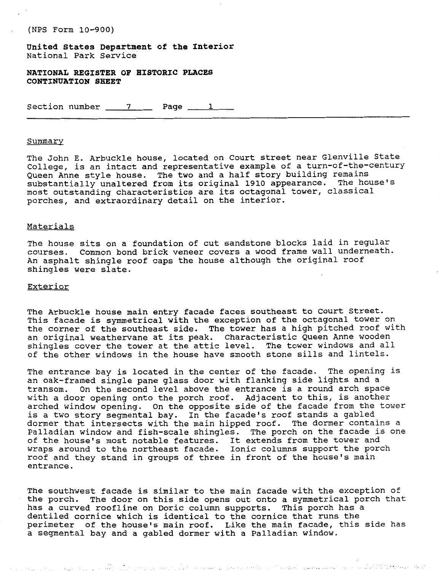- (NPS Form **10-900)** 

**United States Department of the Interior**  National Park Service

**NATIONAL REGISTER OF HISTORIC PLACES CONTINUATION SHEET** 

Section number  $\frac{7}{2}$  Page  $\frac{1}{2}$ 

#### Summary

The John E. Arbuckle house, located on Court street near Glenville State College, is an intact and representative example of a turn-of-the-century Queen Anne style house. The two and a half story building remains substantially unaltered from its original **1910** appearance. The house's most outstanding characteristics are its octagonal tower, classical porches, and extraordinary detail on the interior.

#### Materials

The house sits on a foundation of cut sandstone blocks laid in regular courses. Common bond brick veneer covers a wood frame wall underneath. An asphalt shingle roof caps the house although the original roof shingles were slate.

### Exterior

contract of the contract of

The Arbuckle house main entry facade faces southeast to Court Street. This facade is symmetrical with the exception of the octagonal tower on the corner of the southeast side. The tower has a high pitched roof with an original weathervane at its peak. Characteristic Queen Anne wooden shingles cover the tower at the attic level. The tower windows and all of the other windows in the house have smooth stone sills and lintels.

The entrance bay is located in the center of the facade. The opening is an oak-framed single pane glass door with flanking side lights and a transom. On the second level above the entrance is a round arch space with a door opening onto the porch roof. Adjacent to this, is another arched window opening. On the opposite side of the facade from the tower is a two story segmental bay. In the facade's roof stands a gabled dormer that intersects with the main hipped roof. The dormer contains a Palladian window and fish-scale shingles. The porch on the facade is one of the house's most notable features. It extends from the tower and wraps around to the northeast facade. Ionic columns support the porch roof and they stand in groups of three in front of the house's main entrance.

The southwest facade is similar to the main facade with the exception of the porch. The door on this side opens out onto a symmetrical porch that has a curved roofline on Doric column supports. This porch has a dentiled cornice which is identical to the cornice that runs the perimeter of the house's main roof. Like the main facade, this side has a segmental bay and a gabled dormer with a Palladian window.

والمعادلة فحملته فلكاهل أيحلك بالالتماد المأركة والراجحة والهراية والمحارب كالمأرار كريفاء المردوزة والمر

 $\int_{\mathbb{R}^d} e^{i\frac{\pi}{2} \left(\frac{\pi}{2} \right)} \frac{d}{2} \left( \frac{\pi}{2} \sigma_1 \psi \right) \, \sigma_2 \, \varphi \, e^{-i\frac{\pi}{2} \left(\frac{\pi}{2} \right)^2}$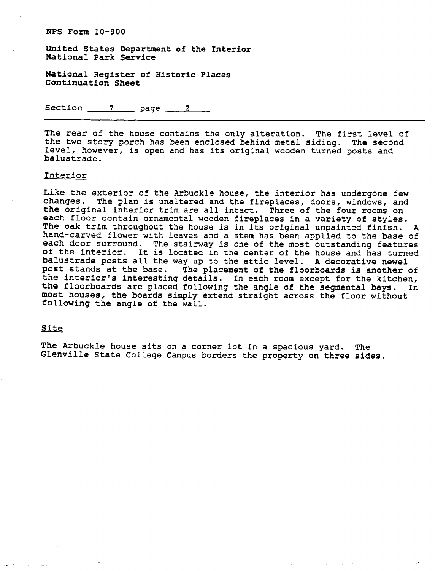United States Department of the Interior National Park Service

National Register of Historic Places Continuation Sheet

Section  $\frac{7}{2}$  page  $\frac{2}{2}$ 

The rear of the house contains the only alteration. The first level of the two story porch has been enclosed behind metal siding. The second level, however, is open and has its original wooden turned posts and balustrade.

#### Interior

Like the exterior of the Arbuckle house, the interior has undergone few changes. The plan is unaltered and the fireplaces, doors, windows, and the original interior trim are all intact. Three of the four rooms on each floor contain ornamental wooden fireplaces in a variety of styles. The oak trim throughout the house is in its original unpainted finish. A hand-carved flower with leaves and a stem has been applied to the base of each door surround. The stairway is one of the most outstanding features of the interior. It is located in the center of the house and has turned balustrade posts all the way up to the attic level. A decorative newel post stands at the base. The placement of the floorboards is another of post stands at the base. The placement of the floorboards is another of<br>the interior's interesting details. In each room except for the kitchen,<br>the floorboards are placed following the angle of the segmental bays. In<br>most the floorboards are placed following the angle of the segmental bays. In most houses, the boards simply extend straight across the floor without following the angle of the wall.

The Arbuckle house sits on a corner lot in a spacious yard. The Glenville State College Campus borders the property on three sides.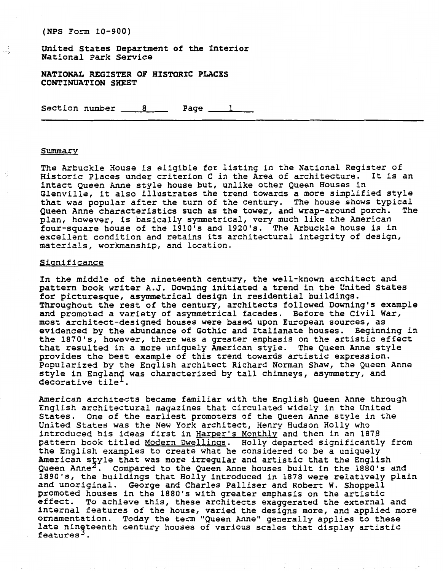(NPS Form 10-900)

United States Department of the Interior National Park Service

**NATIONAL REGISTER OF HISTORIC PLACES CONTINUATION SHEET** 

Section number 8 Page 1

#### Summary

÷.

The Arbuckle House is eligible for listing in the National Register of Historic Places under criterion C in the Area of architecture. It is an intact Queen Anne style house but, unlike other Queen Houses in Glenville, it also illustrates the trend towards a more simplified style that was popular after the turn of the century. The house shows typical Queen Anne characteristics such as the tower, and wrap-around porch. The plan, however, is basically symmetrical, very much like the American four-square house of the 1910's and 1920's. The Arbuckle house is in excellent condition and retains its architectural integrity of design, materials, workmanship, and location.

#### Sianificance

In the middle of the nineteenth century, the well-known architect and pattern book writer A.J. Downing initiated a trend in the United States for picturesque, asymmetrical design in residential buildings. Throughout the rest of the century, architects followed Downing's example and promoted a variety of asymmetrical facades. Before the Civil War, most architect-designed houses were based upon European sources, as evidenced by the abundance of Gothic and Italianate houses. Beginning in the 1870's, however, there was a greater emphasis on the artistic effect that resulted in a more uniquely American style. The Queen Anne style provides the best example of this trend towards artistic expression. Popularized by the English architect Richard Norman Shaw, the Queen Anne style in England was characterized by tall chimneys, asymmetry, and<br>decorative tile<sup>1</sup>.

American architects became familiar with the English Queen Anne through English architectural magazines that circulated widely in the United States. One of the earliest promoters of the Queen Anne style in the United States was the New York architect, Henry Hudson Holly who introduced his ideas first in Harper's Monthly and then in an 1878 pattern book titled Modern Dwellings. Holly departed significantly from the English examples to create what he considered to be a uniquely American style that was more irregular and artistic that the English Queen Anne<sup>2</sup>. Compared to the Queen Anne houses built in the 1880's and 1890's, the buildings that Holly introduced in 1878 were relatively plain and unoriginal. George and Charles Palliser and Robert W. Shoppell promoted houses in the 1880's with greater emphasis on the artistic effect. To achieve this, these architects exaggerated the external and internal features of the house, varied the designs more, and applied more ornamentation. Today the term "Queen Annew generally applies to these late nineteenth century houses of various scales that display artistic<br>features<sup>3</sup>.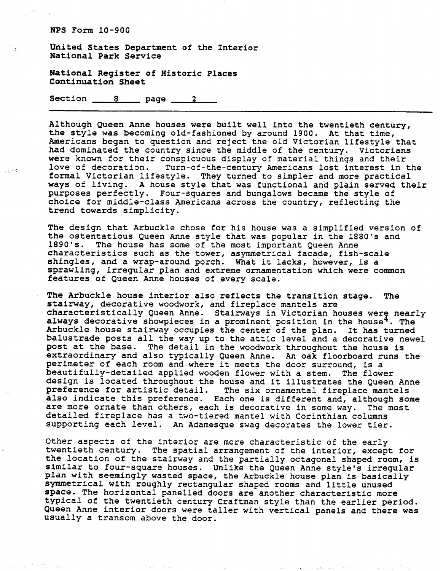$\sim 10^{-10}$ 

United States Department of the Interior National Park Service

National Register of Historic Places Continuation Sheet

Section  $8 \qquad page \qquad 2$ 

Although Queen Anne houses were built well into the twentieth century, the style was becoming old-fashioned by around 1900. At that time, Americans began to question and reject the old Victorian lifestyle that had dominated the country since the middle of the century. Victorians were known for their conspicuous display of material things and their<br>love of decoration. Turn-of-the-century Americans lost interest in Turn-of-the-century Americans lost interest in the formal Victorian lifestyle. They turned to simpler and more practical ways of living. A house style that was functional and plain served their purposes perfectly. Four-squares and bungalows became the style of choice for middle-class Americans across the country, reflecting the trend towards simplicity.

The design that Arbuckle chose for his house was a simplified version of the ostentatious Queen Anne style that was popular in the 1880's and 1890's. The house has some of the most important Queen Anne characteristics such as the tower, asymmetrical facade, fish-scale shingles, and a wrap-around porch. What it lacks, however, is a sprawling, irregular plan and extreme ornamentation which were common features of Queen Anne houses of every scale.

The Arbuckle house interior also reflects the transition stage. The stairway, decorative woodwork, and fireplace mantels are characteristically Queen Anne. Stairways in Victorian houses were nearly always decorative showpieces in a prominent position in the house<sup>4</sup>. The Arbuckle house stairway occupies the center of the plan. It has turned balustrade posts all the way up to the attic level and a decorative newel post at the base. The detail in the woodwork throughout the house is extraordinary and also typically Queen Anne. An oak floorboard runs the perimeter of each room and where it meets the door surround, is a beautifully-detailed applied wooden flower with a stem. The flower design is located throughout the house and it illustrates the Queen Anne preference for artistic detail. The six ornamental fireplace mantels also indicate this preference. Each one is different and, although some are more ornate than others, each is decorative in some way. The most detailed fireplace has a two-tiered mantel with Corinthian columns supporting each level. An Adamesque swag decorates the lower tier.

Other aspects of the interior are more characteristic of the early twentieth century. The spatial arrangement of the interior, except for the location of the stairway and the partially octagonal shaped room, is similar to four-square houses. Unlike the Queen Anne style's irregular plan with seemingly wasted space, the Arbuckle house plan is basically symmetrical with roughly rectangular shaped rooms and little unused space. The horizontal panelled doors are another characteristic more typical of the twentieth century Craftman style than the earlier period. Queen Anne interior doors were taller with vertical panels and there was usually a transom above the door.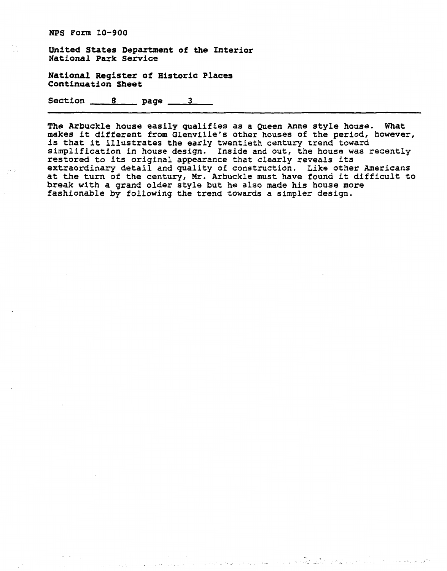**United States Department of the Interior National Park Service** 

**National Register of Historic Places Continuation Sheet** 

Section 8 page 3

**The Arbuckle house easily qualifies as a Queen Anne style house. What makes it different from Glenville's other houses of the period, however,**  is that it illustrates the early twentieth century trend toward **simplification in house design. Inside and out, the house was recently restored to its original appearance that clearly reveals its extraordinary detail and quality of construction. Like other Americans at the turn of the century, Mr. Arbuckle must have found it difficult to break with a grand older style but he also made his house more fashionable by following the trend towards a simpler design.**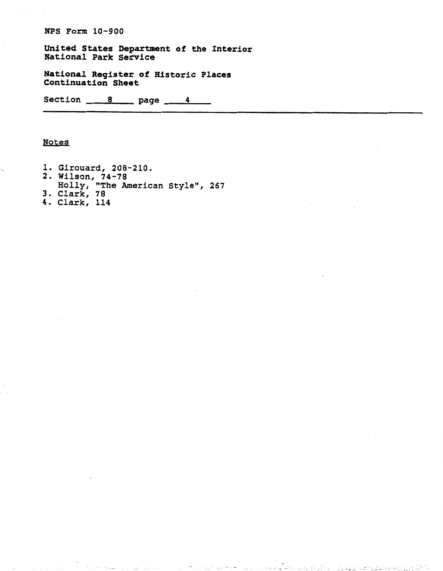**United States Department of the Interior National Park Service** 

**National Register of Historic Places Continuation Sheet** 

Section 8 page 4

## **Notes**

ý,

- **1. Girouard, 208-210.**
- **2. Wilson, 74-78**
- **Holly, "The American StyleH, 267**

and looking areas to

 $\mathcal{G}_\mathcal{G}$  , and  $\mathcal{G}_\mathcal{G}$  , where  $\mathcal{G}_\mathcal{G}$  , and  $\mathcal{G}_\mathcal{G}$ 

۰, s

- **3. Clark, 78**
- **4. Clark, 114**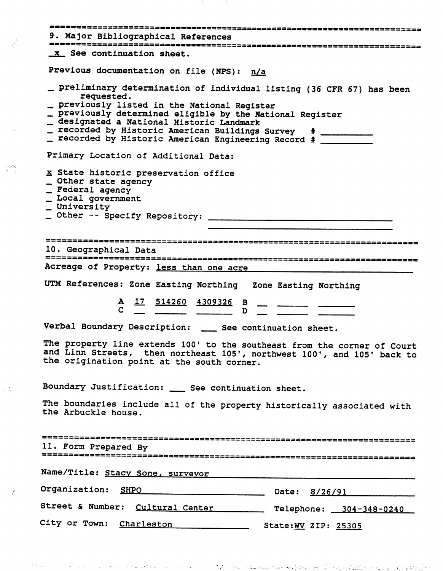| 9. Major Bibliographical References                                                                                                                                                                                                                                             |
|---------------------------------------------------------------------------------------------------------------------------------------------------------------------------------------------------------------------------------------------------------------------------------|
| x See continuation sheet.                                                                                                                                                                                                                                                       |
| Previous documentation on file (NPS): n/a                                                                                                                                                                                                                                       |
| _ preliminary determination of individual listing (36 CFR 67) has been<br>requested.                                                                                                                                                                                            |
| _ previously listed in the National Register<br>_ previously determined eligible by the National Register<br>_ designated a National Historic Landmark<br>_ recorded by Historic American Buildings Survey # __________<br>_ recorded by Historic American Engineering Record # |
| Primary Location of Additional Data:                                                                                                                                                                                                                                            |
| x State historic preservation office<br>_ Other state agency<br>_ Federal agency<br>_ Local government<br>_ University                                                                                                                                                          |
|                                                                                                                                                                                                                                                                                 |
| 10. Geographical Data                                                                                                                                                                                                                                                           |
| Acreage of Property: less than one acre                                                                                                                                                                                                                                         |
| UTM References: Zone Easting Northing Zone Easting Northing                                                                                                                                                                                                                     |
| $\frac{A}{C}$ $\frac{17}{C}$ $\frac{514260}{C}$ $\frac{4309326}{D}$ $\frac{B}{D}$ $\frac{17}{D}$ $\frac{514260}{D}$                                                                                                                                                             |
| Verbal Boundary Description: __ See continuation sheet.                                                                                                                                                                                                                         |
| The property line extends 100' to the southeast from the corner of Court<br>and Linn Streets, then northeast 105', northwest 100', and 105' back to<br>the origination point at the south corner.                                                                               |
| Boundary Justification: __ See continuation sheet.                                                                                                                                                                                                                              |
| The boundaries include all of the property historically associated with<br>the Arbuckle house.                                                                                                                                                                                  |
| 11. Form Prepared By                                                                                                                                                                                                                                                            |
| Name/Title: Stacy Sone, surveyor                                                                                                                                                                                                                                                |
| Organization: SHPO<br>Date: 8/26/91                                                                                                                                                                                                                                             |
| Street & Number: Cultural Center Telephone: 304-348-0240                                                                                                                                                                                                                        |
| City or Town: Charleston State: WV ZIP: 25305                                                                                                                                                                                                                                   |

الولادة في الأمان التي توسيد

 $\label{eq:1} \mathcal{L}_{\text{max}}(\mathcal{L}_{\text{max}}) \leq \mathcal{L}_{\text{max}}(\mathcal{L}_{\text{max}})$ 

بالمتباريخ

s provinci

 $\mathbb{R}^2$ 

 $\mathcal{A}_{\mathcal{A}}$  .

 $\mathcal{A}$ 

 $\frac{1}{2}$ 

 $\frac{1}{2}$  and

 $\frac{\epsilon}{2}$ 

الموارد والمعاقبة والمراكب والأراد والمراكبة

وللمتحاص والمستعمل والمتحاول والمتحاول والمتحار المتحاول المتحاول والمستعمر

 $\sim 10^{-10}$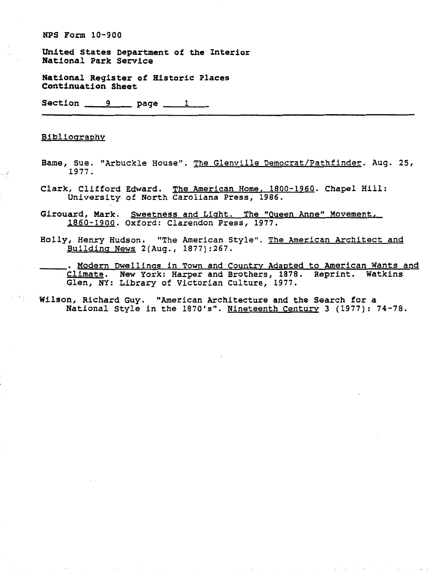**United States Department of the Interior National Park Service** 

**National Register of Historic Places Continuation Sheet** 

Section <u>9</u> page 1 **1** 

#### Bibliography

- 3

 $\sim$   $\sim$ 

- **Bame, Sue. "Arbuckle House". The Glenville Dernocrat/Pathfinder. Aug. 25, 1977.**
- **Clark, Clifford Edward. The American Home, 1800-1960. Chapel Hill: University of North Caroliana Press, 1986.**
- Girouard, Mark. Sweetness and Light. The "Queen Anne" Movement, **1860-1900. Oxford: Clarendon Press, 1977.**
- **Holly, Henry Hudson. "The American Style". The American Architect and**  Building News 2(Aug., 1877):267.
- . Modern Dwellings in Town and Country Adapted to American Wants and **Climate. New York: Harper and Brothers, 1878. Reprint. Watkins Glen, NY: Library of Victorian Culture, 1977.**

**Wilson, Richard Guy. "American Architecture and the Search for a National Style in the 1870's". Nineteenth Centurv 3 (1977): 74-78.**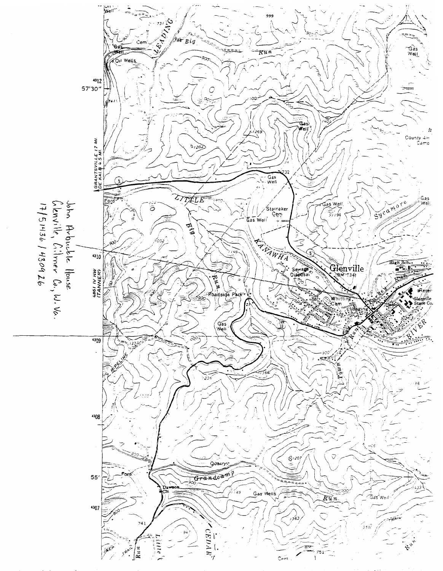